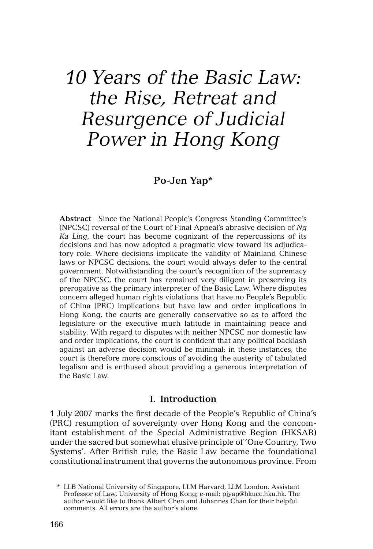# *10 Years of the Basic Law: the Rise, Retreat and Resurgence of Judicial Power in Hong Kong*

# **Po-Jen Yap\***

**Abstract** Since the National People's Congress Standing Committee's (NPCSC) reversal of the Court of Final Appeal's abrasive decision of *Ng Ka Ling*, the court has become cognizant of the repercussions of its decisions and has now adopted a pragmatic view toward its adjudicatory role. Where decisions implicate the validity of Mainland Chinese laws or NPCSC decisions, the court would always defer to the central government. Notwithstanding the court's recognition of the supremacy of the NPCSC, the court has remained very diligent in preserving its prerogative as the primary interpreter of the Basic Law. Where disputes concern alleged human rights violations that have no People's Republic of China (PRC) implications but have law and order implications in Hong Kong, the courts are generally conservative so as to afford the legislature or the executive much latitude in maintaining peace and stability. With regard to disputes with neither NPCSC nor domestic law and order implications, the court is confident that any political backlash against an adverse decision would be minimal; in these instances, the court is therefore more conscious of avoiding the austerity of tabulated legalism and is enthused about providing a generous interpretation of the Basic Law.

# **I. Introduction**

1 July 2007 marks the first decade of the People's Republic of China's (PRC) resumption of sovereignty over Hong Kong and the concomitant establishment of the Special Administrative Region (HKSAR) under the sacred but somewhat elusive principle of 'One Country, Two Systems'. After British rule, the Basic Law became the foundational constitutional instrument that governs the autonomous province. From

<sup>\*</sup> LLB National University of Singapore, LLM Harvard, LLM London. Assistant Professor of Law, University of Hong Kong; e-mail: pjyap@hkucc.hku.hk. The author would like to thank Albert Chen and Johannes Chan for their helpful comments. All errors are the author's alone.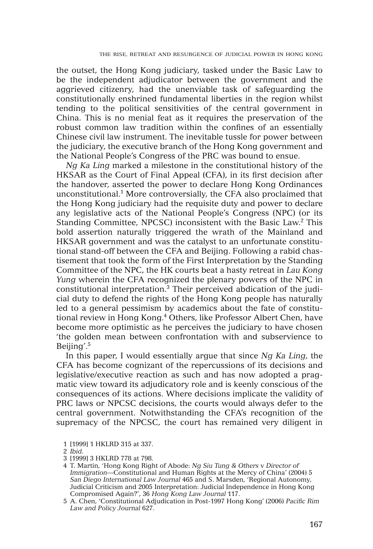the outset, the Hong Kong judiciary, tasked under the Basic Law to be the independent adjudicator between the government and the aggrieved citizenry, had the unenviable task of safeguarding the constitutionally enshrined fundamental liberties in the region whilst tending to the political sensitivities of the central government in China. This is no menial feat as it requires the preservation of the robust common law tradition within the confines of an essentially Chinese civil law instrument. The inevitable tussle for power between the judiciary, the executive branch of the Hong Kong government and the National People's Congress of the PRC was bound to ensue.

*Ng Ka Ling* marked a milestone in the constitutional history of the HKSAR as the Court of Final Appeal (CFA), in its first decision after the handover, asserted the power to declare Hong Kong Ordinances unconstitutional.1 More controversially, the CFA also proclaimed that the Hong Kong judiciary had the requisite duty and power to declare any legislative acts of the National People's Congress (NPC) (or its Standing Committee, NPCSC) inconsistent with the Basic Law.<sup>2</sup> This bold assertion naturally triggered the wrath of the Mainland and HKSAR government and was the catalyst to an unfortunate constitutional stand-off between the CFA and Beijing. Following a rabid chastisement that took the form of the First Interpretation by the Standing Committee of the NPC, the HK courts beat a hasty retreat in *Lau Kong Yung* wherein the CFA recognized the plenary powers of the NPC in constitutional interpretation.3 Their perceived abdication of the judicial duty to defend the rights of the Hong Kong people has naturally led to a general pessimism by academics about the fate of constitutional review in Hong Kong.<sup>4</sup> Others, like Professor Albert Chen, have become more optimistic as he perceives the judiciary to have chosen 'the golden mean between confrontation with and subservience to Beijing'. 5

In this paper, I would essentially argue that since *Ng Ka Ling*, the CFA has become cognizant of the repercussions of its decisions and legislative/executive reaction as such and has now adopted a pragmatic view toward its adjudicatory role and is keenly conscious of the consequences of its actions. Where decisions implicate the validity of PRC laws or NPCSC decisions, the courts would always defer to the central government. Notwithstanding the CFA's recognition of the supremacy of the NPCSC, the court has remained very diligent in

<sup>1 [1999] 1</sup> HKLRD 315 at 337.

<sup>2</sup> *Ibid*.

<sup>3 [1999] 3</sup> HKLRD 778 at 798.

<sup>4</sup> T. Martin, 'Hong Kong Right of Abode: *Ng Siu Tung & Others* v *Director of Immigration*—Constitutional and Human Rights at the Mercy of China' (2004) 5 *San Diego International Law Journal* 465 and S. Marsden, 'Regional Autonomy, Judicial Criticism and 2005 Interpretation: Judicial Independence in Hong Kong Compromised Again?', 36 *Hong Kong Law Journal* 117.

<sup>5</sup> A. Chen, 'Constitutional Adjudication in Post-1997 Hong Kong' (2006) *Pacific Rim Law and Policy Journal* 627.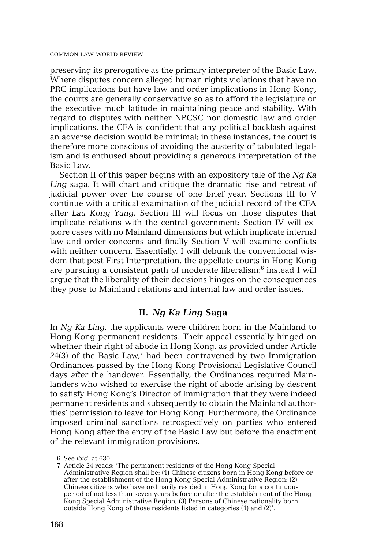preserving its prerogative as the primary interpreter of the Basic Law. Where disputes concern alleged human rights violations that have no PRC implications but have law and order implications in Hong Kong, the courts are generally conservative so as to afford the legislature or the executive much latitude in maintaining peace and stability. With regard to disputes with neither NPCSC nor domestic law and order implications, the CFA is confident that any political backlash against an adverse decision would be minimal; in these instances, the court is therefore more conscious of avoiding the austerity of tabulated legalism and is enthused about providing a generous interpretation of the Basic Law.

Section II of this paper begins with an expository tale of the *Ng Ka Ling* saga. It will chart and critique the dramatic rise and retreat of judicial power over the course of one brief year. Sections III to V continue with a critical examination of the judicial record of the CFA after *Lau Kong Yung.* Section III will focus on those disputes that implicate relations with the central government; Section IV will explore cases with no Mainland dimensions but which implicate internal law and order concerns and finally Section V will examine conflicts with neither concern. Essentially, I will debunk the conventional wisdom that post First Interpretation, the appellate courts in Hong Kong are pursuing a consistent path of moderate liberalism;6 instead I will argue that the liberality of their decisions hinges on the consequences they pose to Mainland relations and internal law and order issues.

# **II.** *Ng Ka Ling* **Saga**

In *Ng Ka Ling*, the applicants were children born in the Mainland to Hong Kong permanent residents. Their appeal essentially hinged on whether their right of abode in Hong Kong, as provided under Article  $24(3)$  of the Basic Law,<sup>7</sup> had been contravened by two Immigration Ordinances passed by the Hong Kong Provisional Legislative Council days *after* the handover. Essentially, the Ordinances required Mainlanders who wished to exercise the right of abode arising by descent to satisfy Hong Kong's Director of Immigration that they were indeed permanent residents and subsequently to obtain the Mainland authorities' permission to leave for Hong Kong. Furthermore, the Ordinance imposed criminal sanctions retrospectively on parties who entered Hong Kong after the entry of the Basic Law but before the enactment of the relevant immigration provisions.

<sup>6</sup> See *ibid*. at 630.

<sup>7</sup> Article 24 reads: 'The permanent residents of the Hong Kong Special Administrative Region shall be: (1) Chinese citizens born in Hong Kong before or after the establishment of the Hong Kong Special Administrative Region; (2) Chinese citizens who have ordinarily resided in Hong Kong for a continuous period of not less than seven years before or after the establishment of the Hong Kong Special Administrative Region; (3) Persons of Chinese nationality born outside Hong Kong of those residents listed in categories (1) and (2)'.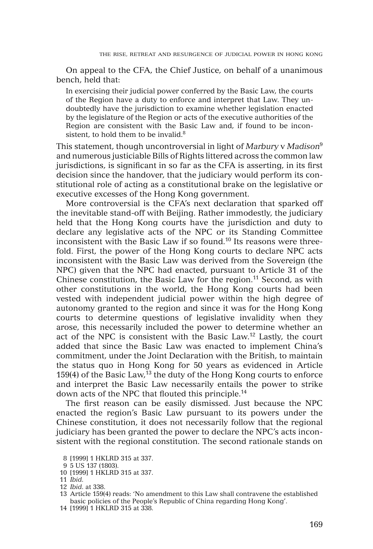On appeal to the CFA, the Chief Justice, on behalf of a unanimous bench, held that:

In exercising their judicial power conferred by the Basic Law, the courts of the Region have a duty to enforce and interpret that Law. They undoubtedly have the jurisdiction to examine whether legislation enacted by the legislature of the Region or acts of the executive authorities of the Region are consistent with the Basic Law and, if found to be inconsistent, to hold them to be invalid.<sup>8</sup>

This statement, though uncontroversial in light of *Marbury* v *Madison*<sup>9</sup> and numerous justiciable Bills of Rights littered across the common law jurisdictions, is significant in so far as the CFA is asserting, in its first decision since the handover, that the judiciary would perform its constitutional role of acting as a constitutional brake on the legislative or executive excesses of the Hong Kong government.

More controversial is the CFA's next declaration that sparked off the inevitable stand-off with Beijing. Rather immodestly, the judiciary held that the Hong Kong courts have the jurisdiction and duty to declare any legislative acts of the NPC or its Standing Committee inconsistent with the Basic Law if so found.10 Its reasons were threefold. First, the power of the Hong Kong courts to declare NPC acts inconsistent with the Basic Law was derived from the Sovereign (the NPC) given that the NPC had enacted, pursuant to Article 31 of the Chinese constitution, the Basic Law for the region. $11$  Second, as with other constitutions in the world, the Hong Kong courts had been vested with independent judicial power within the high degree of autonomy granted to the region and since it was for the Hong Kong courts to determine questions of legislative invalidity when they arose, this necessarily included the power to determine whether an act of the NPC is consistent with the Basic Law.12 Lastly, the court added that since the Basic Law was enacted to implement China's commitment, under the Joint Declaration with the British, to maintain the status quo in Hong Kong for 50 years as evidenced in Article 159(4) of the Basic Law, $^{13}$  the duty of the Hong Kong courts to enforce and interpret the Basic Law necessarily entails the power to strike down acts of the NPC that flouted this principle.<sup>14</sup>

The first reason can be easily dismissed. Just because the NPC enacted the region's Basic Law pursuant to its powers under the Chinese constitution, it does not necessarily follow that the regional judiciary has been granted the power to declare the NPC's acts inconsistent with the regional constitution. The second rationale stands on

10 [1999] 1 HKLRD 315 at 337.

- 12 *Ibid*. at 338.
- 13 Article 159(4) reads: 'No amendment to this Law shall contravene the established basic policies of the People's Republic of China regarding Hong Kong'.
- 14 [1999] 1 HKLRD 315 at 338.

<sup>8 [1999] 1</sup> HKLRD 315 at 337.

<sup>9 5</sup> US 137 (1803).

<sup>11</sup> *Ibid*.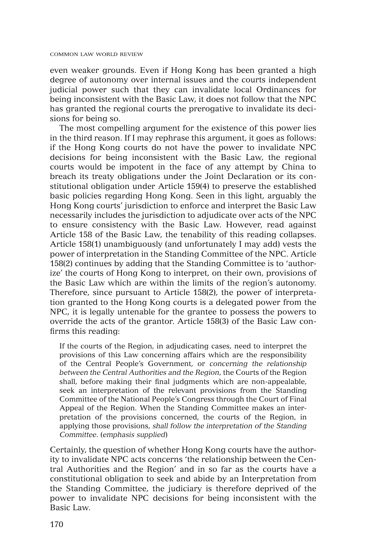even weaker grounds. Even if Hong Kong has been granted a high degree of autonomy over internal issues and the courts independent judicial power such that they can invalidate local Ordinances for being inconsistent with the Basic Law, it does not follow that the NPC has granted the regional courts the prerogative to invalidate its decisions for being so.

The most compelling argument for the existence of this power lies in the third reason. If I may rephrase this argument, it goes as follows: if the Hong Kong courts do not have the power to invalidate NPC decisions for being inconsistent with the Basic Law, the regional courts would be impotent in the face of any attempt by China to breach its treaty obligations under the Joint Declaration or its constitutional obligation under Article 159(4) to preserve the established basic policies regarding Hong Kong. Seen in this light, arguably the Hong Kong courts' jurisdiction to enforce and interpret the Basic Law necessarily includes the jurisdiction to adjudicate over acts of the NPC to ensure consistency with the Basic Law. However, read against Article 158 of the Basic Law, the tenability of this reading collapses. Article 158(1) unambiguously (and unfortunately I may add) vests the power of interpretation in the Standing Committee of the NPC. Article 158(2) continues by adding that the Standing Committee is to 'authorize' the courts of Hong Kong to interpret, on their own, provisions of the Basic Law which are within the limits of the region's autonomy. Therefore, since pursuant to Article 158(2), the power of interpretation granted to the Hong Kong courts is a delegated power from the NPC, it is legally untenable for the grantee to possess the powers to override the acts of the grantor. Article 158(3) of the Basic Law confirms this reading:

If the courts of the Region, in adjudicating cases, need to interpret the provisions of this Law concerning affairs which are the responsibility of the Central People's Government, or *concerning the relationship between the Central Authorities and the Region*, the Courts of the Region shall, before making their final judgments which are non-appealable, seek an interpretation of the relevant provisions from the Standing Committee of the National People's Congress through the Court of Final Appeal of the Region. When the Standing Committee makes an interpretation of the provisions concerned, the courts of the Region, in applying those provisions, *shall follow the interpretation of the Standing Committee*. (*emphasis supplied*)

Certainly, the question of whether Hong Kong courts have the authority to invalidate NPC acts concerns 'the relationship between the Central Authorities and the Region' and in so far as the courts have a constitutional obligation to seek and abide by an Interpretation from the Standing Committee, the judiciary is therefore deprived of the power to invalidate NPC decisions for being inconsistent with the Basic Law.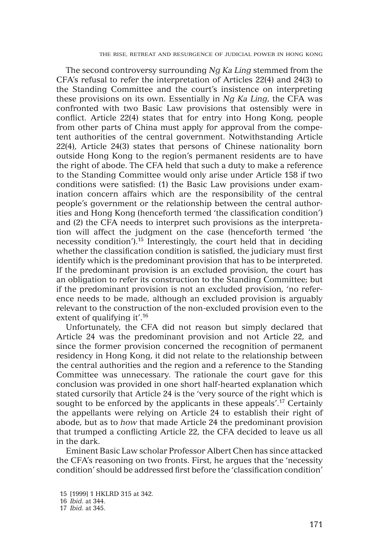The second controversy surrounding *Ng Ka Ling* stemmed from the CFA's refusal to refer the interpretation of Articles 22(4) and 24(3) to the Standing Committee and the court's insistence on interpreting these provisions on its own. Essentially in *Ng Ka Ling*, the CFA was confronted with two Basic Law provisions that ostensibly were in conflict. Article 22(4) states that for entry into Hong Kong, people from other parts of China must apply for approval from the competent authorities of the central government. Notwithstanding Article 22(4), Article 24(3) states that persons of Chinese nationality born outside Hong Kong to the region's permanent residents are to have the right of abode. The CFA held that such a duty to make a reference to the Standing Committee would only arise under Article 158 if two conditions were satisfied: (1) the Basic Law provisions under examination concern affairs which are the responsibility of the central people's government or the relationship between the central authorities and Hong Kong (henceforth termed 'the classification condition') and (2) the CFA needs to interpret such provisions as the interpretation will affect the judgment on the case (henceforth termed 'the necessity condition').15 Interestingly, the court held that in deciding whether the classification condition is satisfied, the judiciary must first identify which is the predominant provision that has to be interpreted. If the predominant provision is an excluded provision, the court has an obligation to refer its construction to the Standing Committee; but if the predominant provision is not an excluded provision, 'no reference needs to be made, although an excluded provision is arguably relevant to the construction of the non-excluded provision even to the extent of qualifying it'.<sup>16</sup>

Unfortunately, the CFA did not reason but simply declared that Article 24 was the predominant provision and not Article 22, and since the former provision concerned the recognition of permanent residency in Hong Kong, it did not relate to the relationship between the central authorities and the region and a reference to the Standing Committee was unnecessary. The rationale the court gave for this conclusion was provided in one short half-hearted explanation which stated cursorily that Article 24 is the 'very source of the right which is sought to be enforced by the applicants in these appeals'.<sup>17</sup> Certainly the appellants were relying on Article 24 to establish their right of abode, but as to *how* that made Article 24 the predominant provision that trumped a conflicting Article 22, the CFA decided to leave us all in the dark.

Eminent Basic Law scholar Professor Albert Chen has since attacked the CFA's reasoning on two fronts. First, he argues that the 'necessity condition' should be addressed first before the 'classification condition'

<sup>15 [1999] 1</sup> HKLRD 315 at 342.

<sup>16</sup> *Ibid*. at 344.

<sup>17</sup> *Ibid*. at 345.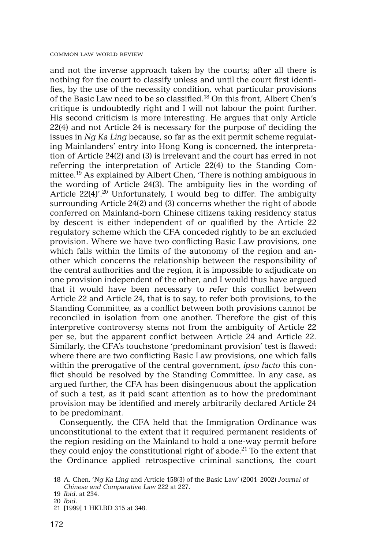and not the inverse approach taken by the courts; after all there is nothing for the court to classify unless and until the court first identifies, by the use of the necessity condition, what particular provisions of the Basic Law need to be so classified.18 On this front, Albert Chen's critique is undoubtedly right and I will not labour the point further. His second criticism is more interesting. He argues that only Article 22(4) and not Article 24 is necessary for the purpose of deciding the issues in *Ng Ka Ling* because, so far as the exit permit scheme regulating Mainlanders' entry into Hong Kong is concerned, the interpretation of Article 24(2) and (3) is irrelevant and the court has erred in not referring the interpretation of Article 22(4) to the Standing Committee.<sup>19</sup> As explained by Albert Chen, 'There is nothing ambiguous in the wording of Article 24(3). The ambiguity lies in the wording of Article 22(4)'.<sup>20</sup> Unfortunately, I would beg to differ. The ambiguity surrounding Article 24(2) and (3) concerns whether the right of abode conferred on Mainland-born Chinese citizens taking residency status by descent is either independent of or qualified by the Article 22 regulatory scheme which the CFA conceded rightly to be an excluded provision. Where we have two conflicting Basic Law provisions, one which falls within the limits of the autonomy of the region and another which concerns the relationship between the responsibility of the central authorities and the region, it is impossible to adjudicate on one provision independent of the other, and I would thus have argued that it would have been necessary to refer this conflict between Article 22 and Article 24, that is to say, to refer both provisions, to the Standing Committee, as a conflict between both provisions cannot be reconciled in isolation from one another. Therefore the gist of this interpretive controversy stems not from the ambiguity of Article 22 per se, but the apparent conflict between Article 24 and Article 22. Similarly, the CFA's touchstone 'predominant provision' test is flawed: where there are two conflicting Basic Law provisions, one which falls within the prerogative of the central government, *ipso facto* this conflict should be resolved by the Standing Committee. In any case, as argued further, the CFA has been disingenuous about the application of such a test, as it paid scant attention as to how the predominant provision may be identified and merely arbitrarily declared Article 24 to be predominant.

Consequently, the CFA held that the Immigration Ordinance was unconstitutional to the extent that it required permanent residents of the region residing on the Mainland to hold a one-way permit before they could enjoy the constitutional right of abode.<sup>21</sup> To the extent that the Ordinance applied retrospective criminal sanctions, the court

<sup>18</sup> A. Chen, '*Ng Ka Ling* and Article 158(3) of the Basic Law' (2001–2002) *Journal of Chinese and Comparative Law* 222 at 227.

<sup>19</sup> *Ibid*. at 234.

<sup>20</sup> *Ibid*.

<sup>21 [1999] 1</sup> HKLRD 315 at 348.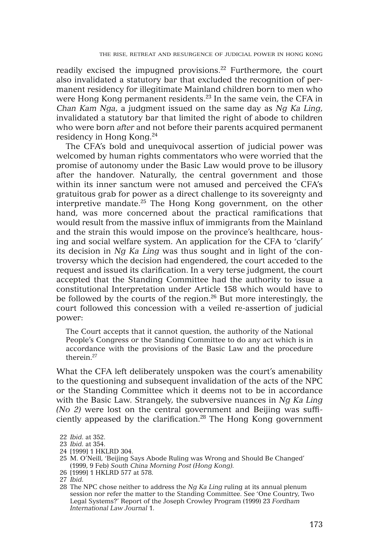readily excised the impugned provisions.<sup>22</sup> Furthermore, the court also invalidated a statutory bar that excluded the recognition of permanent residency for illegitimate Mainland children born to men who were Hong Kong permanent residents.<sup>23</sup> In the same vein, the CFA in *Chan Kam Nga*, a judgment issued on the same day as *Ng Ka Ling*, invalidated a statutory bar that limited the right of abode to children who were born *after* and not before their parents acquired permanent residency in Hong Kong.24

The CFA's bold and unequivocal assertion of judicial power was welcomed by human rights commentators who were worried that the promise of autonomy under the Basic Law would prove to be illusory after the handover. Naturally, the central government and those within its inner sanctum were not amused and perceived the CFA's gratuitous grab for power as a direct challenge to its sovereignty and interpretive mandate.<sup>25</sup> The Hong Kong government, on the other hand, was more concerned about the practical ramifications that would result from the massive influx of immigrants from the Mainland and the strain this would impose on the province's healthcare, housing and social welfare system. An application for the CFA to 'clarify' its decision in *Ng Ka Ling* was thus sought and in light of the controversy which the decision had engendered, the court acceded to the request and issued its clarification. In a very terse judgment, the court accepted that the Standing Committee had the authority to issue a constitutional Interpretation under Article 158 which would have to be followed by the courts of the region.<sup>26</sup> But more interestingly, the court followed this concession with a veiled re-assertion of judicial power:

The Court accepts that it cannot question, the authority of the National People's Congress or the Standing Committee to do any act which is in accordance with the provisions of the Basic Law and the procedure therein<sup>27</sup>

What the CFA left deliberately unspoken was the court's amenability to the questioning and subsequent invalidation of the acts of the NPC or the Standing Committee which it deems not to be in accordance with the Basic Law. Strangely, the subversive nuances in *Ng Ka Ling (No 2)* were lost on the central government and Beijing was sufficiently appeased by the clarification.28 The Hong Kong government

- 24 [1999] 1 HKLRD 304.
- 25 M. O'Neill, 'Beijing Says Abode Ruling was Wrong and Should Be Changed' (1999, 9 Feb) *South China Morning Post (Hong Kong)*.
- 26 [1999] 1 HKLRD 577 at 578.

28 The NPC chose neither to address the *Ng Ka Ling* ruling at its annual plenum session nor refer the matter to the Standing Committee. See 'One Country, Two Legal Systems?' Report of the Joseph Crowley Program (1999) 23 *Fordham International Law Journal* 1.

<sup>22</sup> *Ibid*. at 352.

<sup>23</sup> *Ibid*. at 354.

<sup>27</sup> *Ibid*.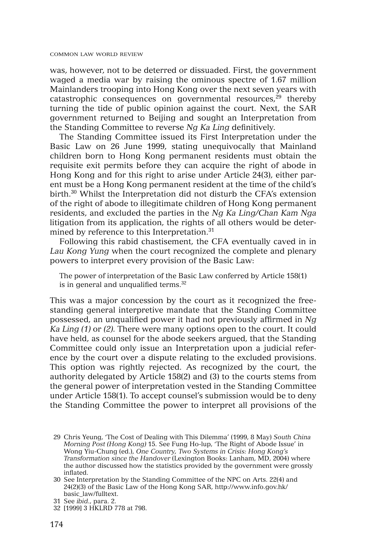was, however, not to be deterred or dissuaded. First, the government waged a media war by raising the ominous spectre of 1.67 million Mainlanders trooping into Hong Kong over the next seven years with catastrophic consequences on governmental resources, $29$  thereby turning the tide of public opinion against the court. Next, the SAR government returned to Beijing and sought an Interpretation from the Standing Committee to reverse *Ng Ka Ling* definitively.

The Standing Committee issued its First Interpretation under the Basic Law on 26 June 1999, stating unequivocally that Mainland children born to Hong Kong permanent residents must obtain the requisite exit permits before they can acquire the right of abode in Hong Kong and for this right to arise under Article 24(3), either parent must be a Hong Kong permanent resident at the time of the child's birth.30 Whilst the Interpretation did not disturb the CFA's extension of the right of abode to illegitimate children of Hong Kong permanent residents, and excluded the parties in the *Ng Ka Ling/Chan Kam Nga* litigation from its application, the rights of all others would be determined by reference to this Interpretation.<sup>31</sup>

Following this rabid chastisement, the CFA eventually caved in in *Lau Kong Yung* when the court recognized the complete and plenary powers to interpret every provision of the Basic Law:

The power of interpretation of the Basic Law conferred by Article 158(1) is in general and unqualified terms.<sup>32</sup>

This was a major concession by the court as it recognized the freestanding general interpretive mandate that the Standing Committee possessed, an unqualified power it had not previously affirmed in *Ng Ka Ling (1)* or *(2).* There were many options open to the court. It could have held, as counsel for the abode seekers argued, that the Standing Committee could only issue an Interpretation upon a judicial reference by the court over a dispute relating to the excluded provisions. This option was rightly rejected. As recognized by the court, the authority delegated by Article 158(2) and (3) to the courts stems from the general power of interpretation vested in the Standing Committee under Article 158(1). To accept counsel's submission would be to deny the Standing Committee the power to interpret all provisions of the

<sup>29</sup> Chris Yeung, 'The Cost of Dealing with This Dilemma' (1999, 8 May) *South China Morning Post (Hong Kong)* 15. See Fung Ho-lup, 'The Right of Abode Issue' in Wong Yiu-Chung (ed.), *One Country, Two Systems in Crisis: Hong Kong's Transformation since the Handover* (Lexington Books: Lanham, MD, 2004) where the author discussed how the statistics provided by the government were grossly inflated.

<sup>30</sup> See Interpretation by the Standing Committee of the NPC on Arts. 22(4) and 24(2)(3) of the Basic Law of the Hong Kong SAR, http://www.info.gov.hk/ basic\_law/fulltext.

<sup>31</sup> See *ibid*., para. 2.

<sup>32 [1999] 3</sup> HKLRD 778 at 798.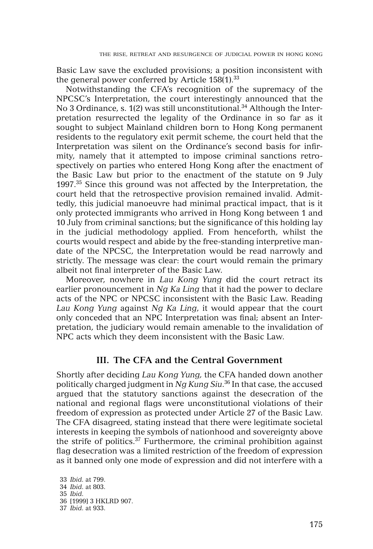Basic Law save the excluded provisions; a position inconsistent with the general power conferred by Article  $158(1).^{33}$ 

Notwithstanding the CFA's recognition of the supremacy of the NPCSC's Interpretation, the court interestingly announced that the No 3 Ordinance, s. 1(2) was still unconstitutional.<sup>34</sup> Although the Interpretation resurrected the legality of the Ordinance in so far as it sought to subject Mainland children born to Hong Kong permanent residents to the regulatory exit permit scheme, the court held that the Interpretation was silent on the Ordinance's second basis for infirmity, namely that it attempted to impose criminal sanctions retrospectively on parties who entered Hong Kong after the enactment of the Basic Law but prior to the enactment of the statute on 9 July 1997.35 Since this ground was not affected by the Interpretation, the court held that the retrospective provision remained invalid. Admittedly, this judicial manoeuvre had minimal practical impact, that is it only protected immigrants who arrived in Hong Kong between 1 and 10 July from criminal sanctions; but the significance of this holding lay in the judicial methodology applied. From henceforth, whilst the courts would respect and abide by the free-standing interpretive mandate of the NPCSC, the Interpretation would be read narrowly and strictly. The message was clear: the court would remain the primary albeit not final interpreter of the Basic Law.

Moreover, nowhere in *Lau Kong Yung* did the court retract its earlier pronouncement in *Ng Ka Ling* that it had the power to declare acts of the NPC or NPCSC inconsistent with the Basic Law. Reading *Lau Kong Yung* against *Ng Ka Ling*, it would appear that the court only conceded that an NPC Interpretation was final; absent an Interpretation, the judiciary would remain amenable to the invalidation of NPC acts which they deem inconsistent with the Basic Law.

## **III. The CFA and the Central Government**

Shortly after deciding *Lau Kong Yung,* the CFA handed down another politically charged judgment in *Ng Kung Siu*. <sup>36</sup> In that case, the accused argued that the statutory sanctions against the desecration of the national and regional flags were unconstitutional violations of their freedom of expression as protected under Article 27 of the Basic Law. The CFA disagreed, stating instead that there were legitimate societal interests in keeping the symbols of nationhood and sovereignty above the strife of politics. $37$  Furthermore, the criminal prohibition against flag desecration was a limited restriction of the freedom of expression as it banned only one mode of expression and did not interfere with a

33 *Ibid*. at 799. 34 *Ibid*. at 803. 35 *Ibid*. 36 [1999] 3 HKLRD 907. 37 *Ibid*. at 933.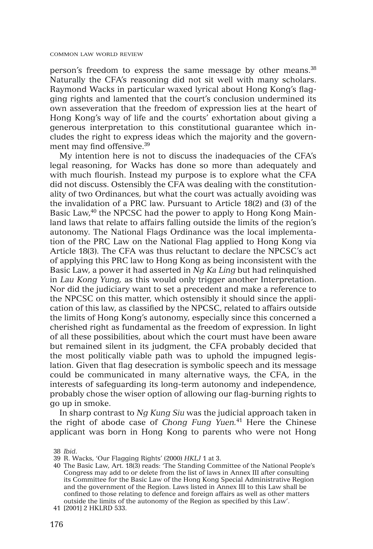person's freedom to express the same message by other means.<sup>38</sup> Naturally the CFA's reasoning did not sit well with many scholars. Raymond Wacks in particular waxed lyrical about Hong Kong's flagging rights and lamented that the court's conclusion undermined its own asseveration that the freedom of expression lies at the heart of Hong Kong's way of life and the courts' exhortation about giving a generous interpretation to this constitutional guarantee which includes the right to express ideas which the majority and the government may find offensive.<sup>39</sup>

My intention here is not to discuss the inadequacies of the CFA's legal reasoning, for Wacks has done so more than adequately and with much flourish. Instead my purpose is to explore what the CFA did not discuss. Ostensibly the CFA was dealing with the constitutionality of two Ordinances, but what the court was actually avoiding was the invalidation of a PRC law. Pursuant to Article 18(2) and (3) of the Basic Law,<sup>40</sup> the NPCSC had the power to apply to Hong Kong Mainland laws that relate to affairs falling outside the limits of the region's autonomy. The National Flags Ordinance was the local implementation of the PRC Law on the National Flag applied to Hong Kong via Article 18(3). The CFA was thus reluctant to declare the NPCSC's act of applying this PRC law to Hong Kong as being inconsistent with the Basic Law, a power it had asserted in *Ng Ka Ling* but had relinquished in *Lau Kong Yung,* as this would only trigger another Interpretation. Nor did the judiciary want to set a precedent and make a reference to the NPCSC on this matter, which ostensibly it should since the application of this law, as classified by the NPCSC, related to affairs outside the limits of Hong Kong's autonomy, especially since this concerned a cherished right as fundamental as the freedom of expression. In light of all these possibilities, about which the court must have been aware but remained silent in its judgment, the CFA probably decided that the most politically viable path was to uphold the impugned legislation. Given that flag desecration is symbolic speech and its message could be communicated in many alternative ways, the CFA, in the interests of safeguarding its long-term autonomy and independence, probably chose the wiser option of allowing our flag-burning rights to go up in smoke.

In sharp contrast to *Ng Kung Siu* was the judicial approach taken in the right of abode case of *Chong Fung Yuen.*<sup>41</sup> Here the Chinese applicant was born in Hong Kong to parents who were not Hong

<sup>38</sup> *Ibid*.

<sup>39</sup> R. Wacks, 'Our Flagging Rights' (2000) *HKLJ* 1 at 3.

<sup>40</sup> The Basic Law, Art. 18(3) reads: 'The Standing Committee of the National People's Congress may add to or delete from the list of laws in Annex III after consulting its Committee for the Basic Law of the Hong Kong Special Administrative Region and the government of the Region. Laws listed in Annex III to this Law shall be confined to those relating to defence and foreign affairs as well as other matters outside the limits of the autonomy of the Region as specified by this Law'.

<sup>41 [2001] 2</sup> HKLRD 533.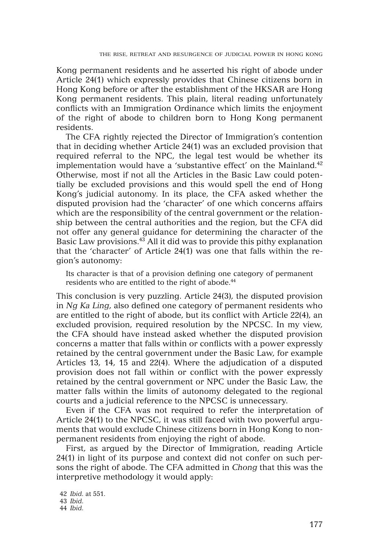Kong permanent residents and he asserted his right of abode under Article 24(1) which expressly provides that Chinese citizens born in Hong Kong before or after the establishment of the HKSAR are Hong Kong permanent residents. This plain, literal reading unfortunately conflicts with an Immigration Ordinance which limits the enjoyment of the right of abode to children born to Hong Kong permanent residents.

The CFA rightly rejected the Director of Immigration's contention that in deciding whether Article 24(1) was an excluded provision that required referral to the NPC, the legal test would be whether its implementation would have a 'substantive effect' on the Mainland. $42$ Otherwise, most if not all the Articles in the Basic Law could potentially be excluded provisions and this would spell the end of Hong Kong's judicial autonomy. In its place, the CFA asked whether the disputed provision had the 'character' of one which concerns affairs which are the responsibility of the central government or the relationship between the central authorities and the region, but the CFA did not offer any general guidance for determining the character of the Basic Law provisions.43 All it did was to provide this pithy explanation that the 'character' of Article 24(1) was one that falls within the region's autonomy:

Its character is that of a provision defining one category of permanent residents who are entitled to the right of abode.<sup>44</sup>

This conclusion is very puzzling. Article 24(3), the disputed provision in *Ng Ka Ling*, also defined one category of permanent residents who are entitled to the right of abode, but its conflict with Article 22(4), an excluded provision, required resolution by the NPCSC. In my view, the CFA should have instead asked whether the disputed provision concerns a matter that falls within or conflicts with a power expressly retained by the central government under the Basic Law, for example Articles 13, 14, 15 and 22(4). Where the adjudication of a disputed provision does not fall within or conflict with the power expressly retained by the central government or NPC under the Basic Law, the matter falls within the limits of autonomy delegated to the regional courts and a judicial reference to the NPCSC is unnecessary.

Even if the CFA was not required to refer the interpretation of Article 24(1) to the NPCSC, it was still faced with two powerful arguments that would exclude Chinese citizens born in Hong Kong to nonpermanent residents from enjoying the right of abode.

First, as argued by the Director of Immigration, reading Article 24(1) in light of its purpose and context did not confer on such persons the right of abode. The CFA admitted in *Chong* that this was the interpretive methodology it would apply:

42 *Ibid*. at 551. 43 *Ibid*. 44 *Ibid*.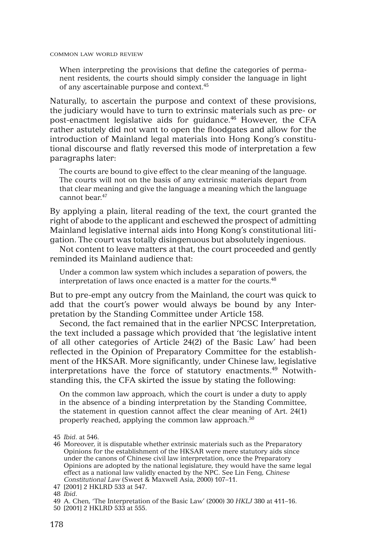When interpreting the provisions that define the categories of permanent residents, the courts should simply consider the language in light of any ascertainable purpose and context.45

Naturally, to ascertain the purpose and context of these provisions, the judiciary would have to turn to extrinsic materials such as pre- or post-enactment legislative aids for guidance.<sup>46</sup> However, the CFA rather astutely did not want to open the floodgates and allow for the introduction of Mainland legal materials into Hong Kong's constitutional discourse and flatly reversed this mode of interpretation a few paragraphs later:

The courts are bound to give effect to the clear meaning of the language. The courts will not on the basis of any extrinsic materials depart from that clear meaning and give the language a meaning which the language cannot bear.47

By applying a plain, literal reading of the text, the court granted the right of abode to the applicant and eschewed the prospect of admitting Mainland legislative internal aids into Hong Kong's constitutional litigation. The court was totally disingenuous but absolutely ingenious.

Not content to leave matters at that, the court proceeded and gently reminded its Mainland audience that:

Under a common law system which includes a separation of powers, the interpretation of laws once enacted is a matter for the courts.<sup>48</sup>

But to pre-empt any outcry from the Mainland, the court was quick to add that the court's power would always be bound by any Interpretation by the Standing Committee under Article 158.

Second, the fact remained that in the earlier NPCSC Interpretation, the text included a passage which provided that 'the legislative intent of all other categories of Article 24(2) of the Basic Law' had been reflected in the Opinion of Preparatory Committee for the establishment of the HKSAR. More significantly, under Chinese law, legislative interpretations have the force of statutory enactments.<sup>49</sup> Notwithstanding this, the CFA skirted the issue by stating the following:

On the common law approach, which the court is under a duty to apply in the absence of a binding interpretation by the Standing Committee, the statement in question cannot affect the clear meaning of Art. 24(1) properly reached, applying the common law approach.<sup>50</sup>

<sup>45</sup> *Ibid*. at 546.

<sup>46</sup> Moreover, it is disputable whether extrinsic materials such as the Preparatory Opinions for the establishment of the HKSAR were mere statutory aids since under the canons of Chinese civil law interpretation, once the Preparatory Opinions are adopted by the national legislature, they would have the same legal effect as a national law validly enacted by the NPC. See Lin Feng, *Chinese Constitutional Law* (Sweet & Maxwell Asia, 2000) 107–11.

<sup>47 [2001] 2</sup> HKLRD 533 at 547.

<sup>48</sup> *Ibid*.

<sup>49</sup> A. Chen, 'The Interpretation of the Basic Law' (2000) 30 *HKLJ* 380 at 411–16.

<sup>50 [2001] 2</sup> HKLRD 533 at 555.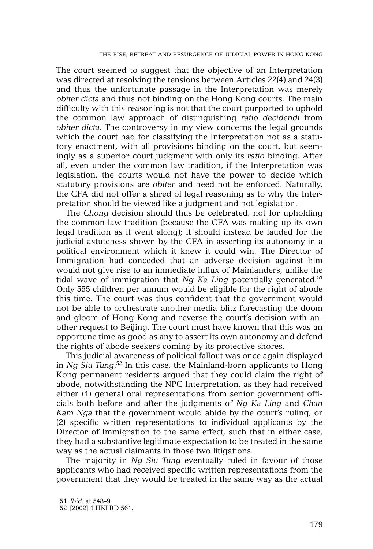The court seemed to suggest that the objective of an Interpretation was directed at resolving the tensions between Articles 22(4) and 24(3) and thus the unfortunate passage in the Interpretation was merely *obiter dicta* and thus not binding on the Hong Kong courts. The main difficulty with this reasoning is not that the court purported to uphold the common law approach of distinguishing *ratio decidendi* from *obiter dicta*. The controversy in my view concerns the legal grounds which the court had for classifying the Interpretation not as a statutory enactment, with all provisions binding on the court, but seemingly as a superior court judgment with only its *ratio* binding. After all, even under the common law tradition, if the Interpretation was legislation, the courts would not have the power to decide which statutory provisions are *obiter* and need not be enforced. Naturally, the CFA did not offer a shred of legal reasoning as to why the Interpretation should be viewed like a judgment and not legislation.

The *Chong* decision should thus be celebrated, not for upholding the common law tradition (because the CFA was making up its own legal tradition as it went along); it should instead be lauded for the judicial astuteness shown by the CFA in asserting its autonomy in a political environment which it knew it could win. The Director of Immigration had conceded that an adverse decision against him would not give rise to an immediate influx of Mainlanders, unlike the tidal wave of immigration that *Ng Ka Ling* potentially generated.<sup>51</sup> Only 555 children per annum would be eligible for the right of abode this time. The court was thus confident that the government would not be able to orchestrate another media blitz forecasting the doom and gloom of Hong Kong and reverse the court's decision with another request to Beijing. The court must have known that this was an opportune time as good as any to assert its own autonomy and defend the rights of abode seekers coming by its protective shores.

This judicial awareness of political fallout was once again displayed in *Ng Siu Tung*. <sup>52</sup> In this case, the Mainland-born applicants to Hong Kong permanent residents argued that they could claim the right of abode, notwithstanding the NPC Interpretation, as they had received either (1) general oral representations from senior government officials both before and after the judgments of *Ng Ka Ling* and *Chan Kam Nga* that the government would abide by the court's ruling, or (2) specific written representations to individual applicants by the Director of Immigration to the same effect, such that in either case, they had a substantive legitimate expectation to be treated in the same way as the actual claimants in those two litigations.

The majority in *Ng Siu Tung* eventually ruled in favour of those applicants who had received specific written representations from the government that they would be treated in the same way as the actual

<sup>51</sup> *Ibid*. at 548–9. 52 [2002] 1 HKLRD 561.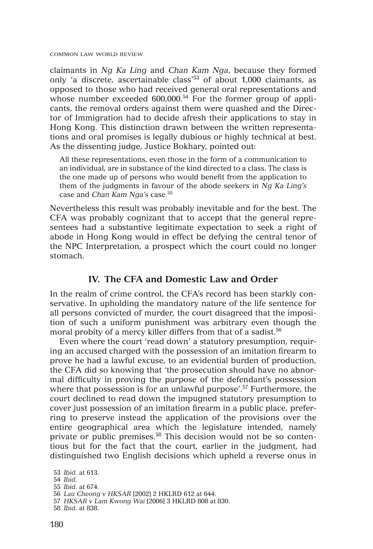claimants in *Ng Ka Ling* and *Chan Kam Nga*, because they formed only 'a discrete, ascertainable class' <sup>53</sup> of about 1,000 claimants, as opposed to those who had received general oral representations and whose number exceeded  $600,000$ .<sup>54</sup> For the former group of applicants, the removal orders against them were quashed and the Director of Immigration had to decide afresh their applications to stay in Hong Kong. This distinction drawn between the written representations and oral promises is legally dubious or highly technical at best. As the dissenting judge, Justice Bokhary, pointed out:

All these representations, even those in the form of a communication to an individual, are in substance of the kind directed to a class. The class is the one made up of persons who would benefit from the application to them of the judgments in favour of the abode seekers in *Ng Ka Ling's* case and *Chan Kam Nga's* case.55

Nevertheless this result was probably inevitable and for the best. The CFA was probably cognizant that to accept that the general representees had a substantive legitimate expectation to seek a right of abode in Hong Kong would in effect be defying the central tenor of the NPC Interpretation, a prospect which the court could no longer stomach.

## **IV. The CFA and Domestic Law and Order**

In the realm of crime control, the CFA's record has been starkly conservative. In upholding the mandatory nature of the life sentence for all persons convicted of murder, the court disagreed that the imposition of such a uniform punishment was arbitrary even though the moral probity of a mercy killer differs from that of a sadist.<sup>56</sup>

Even where the court 'read down' a statutory presumption, requiring an accused charged with the possession of an imitation firearm to prove he had a lawful excuse, to an evidential burden of production, the CFA did so knowing that 'the prosecution should have no abnormal difficulty in proving the purpose of the defendant's possession where that possession is for an unlawful purpose'. <sup>57</sup> Furthermore, the court declined to read down the impugned statutory presumption to cover just possession of an imitation firearm in a public place, preferring to preserve instead the application of the provisions over the entire geographical area which the legislature intended, namely private or public premises.<sup>58</sup> This decision would not be so contentious but for the fact that the court, earlier in the judgment, had distinguished two English decisions which upheld a reverse onus in

- 55 *Ibid*. at 674.
- 56 *Lau Cheong* v *HKSAR* [2002] 2 HKLRD 612 at 644.
- 57 *HKSAR* v *Lam Kwong Wai* [2006] 3 HKLRD 808 at 830.
- 58 *Ibid*. at 838.

<sup>53</sup> *Ibid*. at 613.

<sup>54</sup> *Ibid*.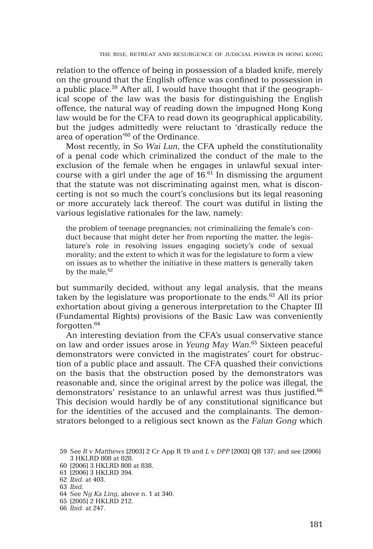relation to the offence of being in possession of a bladed knife, merely on the ground that the English offence was confined to possession in a public place.59 After all, I would have thought that if the geographical scope of the law was the basis for distinguishing the English offence, the natural way of reading down the impugned Hong Kong law would be for the CFA to read down its geographical applicability, but the judges admittedly were reluctant to 'drastically reduce the area of operation<sup>'60</sup> of the Ordinance.

Most recently, in *So Wai Lun*, the CFA upheld the constitutionality of a penal code which criminalized the conduct of the male to the exclusion of the female when he engages in unlawful sexual intercourse with a girl under the age of  $16<sup>61</sup>$  In dismissing the argument that the statute was not discriminating against men, what is disconcerting is not so much the court's conclusions but its legal reasoning or more accurately lack thereof. The court was dutiful in listing the various legislative rationales for the law, namely:

the problem of teenage pregnancies; not criminalizing the female's conduct because that might deter her from reporting the matter, the legislature's role in resolving issues engaging society's code of sexual morality; and the extent to which it was for the legislature to form a view on issues as to whether the initiative in these matters is generally taken by the male, $62$ 

but summarily decided, without any legal analysis, that the means taken by the legislature was proportionate to the ends. $63$  All its prior exhortation about giving a generous interpretation to the Chapter III (Fundamental Rights) provisions of the Basic Law was conveniently forgotten.64

An interesting deviation from the CFA's usual conservative stance on law and order issues arose in *Yeung May Wan*. <sup>65</sup> Sixteen peaceful demonstrators were convicted in the magistrates' court for obstruction of a public place and assault. The CFA quashed their convictions on the basis that the obstruction posed by the demonstrators was reasonable and, since the original arrest by the police was illegal, the demonstrators' resistance to an unlawful arrest was thus justified.<sup>66</sup> This decision would hardly be of any constitutional significance but for the identities of the accused and the complainants. The demonstrators belonged to a religious sect known as the *Falun Gong* which

<sup>59</sup> See *R* v *Matthews* [2003] 2 Cr App R 19 and *L* v *DPP* [2003] QB 137; and see [2006] 3 HKLRD 808 at 828.

<sup>60 [2006] 3</sup> HKLRD 808 at 838.

<sup>61 [2006] 3</sup> HKLRD 394.

<sup>62</sup> *Ibid*. at 403.

<sup>63</sup> *Ibid*.

<sup>64</sup> See *Ng Ka Ling*, above n. 1 at 340.

<sup>65 [2005] 2</sup> HKLRD 212.

<sup>66</sup> *Ibid*. at 247.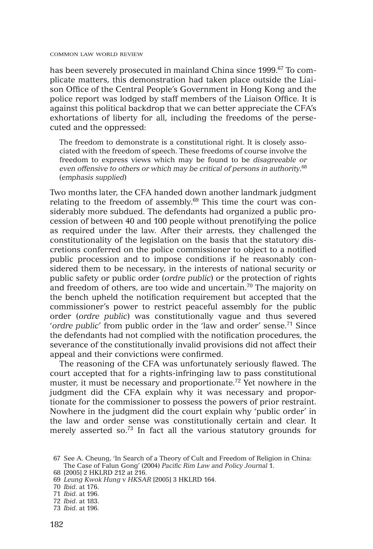has been severely prosecuted in mainland China since 1999.<sup>67</sup> To complicate matters, this demonstration had taken place outside the Liaison Office of the Central People's Government in Hong Kong and the police report was lodged by staff members of the Liaison Office. It is against this political backdrop that we can better appreciate the CFA's exhortations of liberty for all, including the freedoms of the persecuted and the oppressed:

The freedom to demonstrate is a constitutional right. It is closely associated with the freedom of speech. These freedoms of course involve the freedom to express views which may be found to be *disagreeable or even offensive to others or which may be critical of persons in authority*. 68 (*emphasis supplied*)

Two months later, the CFA handed down another landmark judgment relating to the freedom of assembly. $69$  This time the court was considerably more subdued. The defendants had organized a public procession of between 40 and 100 people without prenotifying the police as required under the law. After their arrests, they challenged the constitutionality of the legislation on the basis that the statutory discretions conferred on the police commissioner to object to a notified public procession and to impose conditions if he reasonably considered them to be necessary, in the interests of national security or public safety or public order (*ordre public*) or the protection of rights and freedom of others, are too wide and uncertain.<sup>70</sup> The majority on the bench upheld the notification requirement but accepted that the commissioner's power to restrict peaceful assembly for the public order (*ordre public*) was constitutionally vague and thus severed 'ordre public' from public order in the 'law and order' sense.<sup>71</sup> Since the defendants had not complied with the notification procedures, the severance of the constitutionally invalid provisions did not affect their appeal and their convictions were confirmed.

The reasoning of the CFA was unfortunately seriously flawed. The court accepted that for a rights-infringing law to pass constitutional muster, it must be necessary and proportionate.<sup>72</sup> Yet nowhere in the judgment did the CFA explain why it was necessary and proportionate for the commissioner to possess the powers of prior restraint. Nowhere in the judgment did the court explain why 'public order' in the law and order sense was constitutionally certain and clear. It merely asserted so.73 In fact all the various statutory grounds for

<sup>67</sup> See A. Cheung, 'In Search of a Theory of Cult and Freedom of Religion in China: The Case of Falun Gong' (2004) *Pacific Rim Law and Policy Journal* 1.

<sup>68 [2005] 2</sup> HKLRD 212 at 216.

<sup>69</sup> *Leung Kwok Hung* v *HKSAR* [2005] 3 HKLRD 164.

<sup>70</sup> *Ibid*. at 176.

<sup>71</sup> *Ibid*. at 196.

<sup>72</sup> *Ibid*. at 183.

<sup>73</sup> *Ibid*. at 196.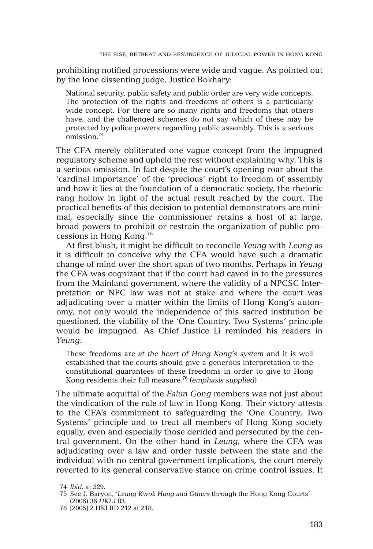prohibiting notified processions were wide and vague. As pointed out by the lone dissenting judge, Justice Bokhary:

National security, public safety and public order are very wide concepts. The protection of the rights and freedoms of others is a particularly wide concept. For there are so many rights and freedoms that others have, and the challenged schemes do not say which of these may be protected by police powers regarding public assembly. This is a serious omission.74

The CFA merely obliterated one vague concept from the impugned regulatory scheme and upheld the rest without explaining why. This is a serious omission. In fact despite the court's opening roar about the 'cardinal importance' of the 'precious' right to freedom of assembly and how it lies at the foundation of a democratic society, the rhetoric rang hollow in light of the actual result reached by the court. The practical benefits of this decision to potential demonstrators are minimal, especially since the commissioner retains a host of at large, broad powers to prohibit or restrain the organization of public processions in Hong Kong.75

At first blush, it might be difficult to reconcile *Yeung* with *Leung* as it is difficult to conceive why the CFA would have such a dramatic change of mind over the short span of two months. Perhaps in *Yeung* the CFA was cognizant that if the court had caved in to the pressures from the Mainland government, where the validity of a NPCSC Interpretation or NPC law was not at stake and where the court was adjudicating over a matter within the limits of Hong Kong's autonomy, not only would the independence of this sacred institution be questioned, the viability of the 'One Country, Two Systems' principle would be impugned. As Chief Justice Li reminded his readers in *Yeung*:

These freedoms are *at the heart of Hong Kong's system* and it is well established that the courts should give a generous interpretation to the constitutional guarantees of these freedoms in order to give to Hong Kong residents their full measure.76 (*emphasis supplied*)

The ultimate acquittal of the *Falun Gong* members was not just about the vindication of the rule of law in Hong Kong. Their victory attests to the CFA's commitment to safeguarding the 'One Country, Two Systems' principle and to treat all members of Hong Kong society equally, even and especially those derided and persecuted by the central government. On the other hand in *Leung*, where the CFA was adjudicating over a law and order tussle between the state and the individual with no central government implications, the court merely reverted to its general conservative stance on crime control issues. It

<sup>74</sup> *Ibid*. at 229.

<sup>75</sup> See J. Baryon, '*Leung Kwok Hung and Others* through the Hong Kong Courts' (2006) 36 *HKLJ* 83.

<sup>76 [2005] 2</sup> HKLRD 212 at 218.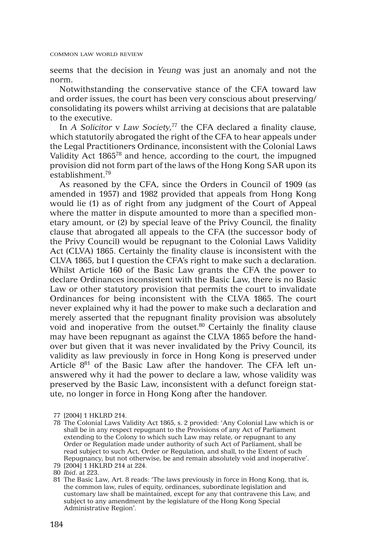seems that the decision in *Yeung* was just an anomaly and not the norm.

Notwithstanding the conservative stance of the CFA toward law and order issues, the court has been very conscious about preserving/ consolidating its powers whilst arriving at decisions that are palatable to the executive.

In *A Solicitor* v *Law Society*, <sup>77</sup> the CFA declared a finality clause, which statutorily abrogated the right of the CFA to hear appeals under the Legal Practitioners Ordinance, inconsistent with the Colonial Laws Validity Act 186578 and hence, according to the court, the impugned provision did not form part of the laws of the Hong Kong SAR upon its establishment.79

As reasoned by the CFA, since the Orders in Council of 1909 (as amended in 1957) and 1982 provided that appeals from Hong Kong would lie (1) as of right from any judgment of the Court of Appeal where the matter in dispute amounted to more than a specified monetary amount, or (2) by special leave of the Privy Council, the finality clause that abrogated all appeals to the CFA (the successor body of the Privy Council) would be repugnant to the Colonial Laws Validity Act (CLVA) 1865. Certainly the finality clause is inconsistent with the CLVA 1865, but I question the CFA's right to make such a declaration. Whilst Article 160 of the Basic Law grants the CFA the power to declare Ordinances inconsistent with the Basic Law, there is no Basic Law or other statutory provision that permits the court to invalidate Ordinances for being inconsistent with the CLVA 1865. The court never explained why it had the power to make such a declaration and merely asserted that the repugnant finality provision was absolutely void and inoperative from the outset. $80$  Certainly the finality clause may have been repugnant as against the CLVA 1865 before the handover but given that it was never invalidated by the Privy Council, its validity as law previously in force in Hong Kong is preserved under Article  $8^{81}$  of the Basic Law after the handover. The CFA left unanswered why it had the power to declare a law, whose validity was preserved by the Basic Law, inconsistent with a defunct foreign statute, no longer in force in Hong Kong after the handover.

<sup>77 [2004] 1</sup> HKLRD 214.

<sup>78</sup> The Colonial Laws Validity Act 1865, s. 2 provided: 'Any Colonial Law which is or shall be in any respect repugnant to the Provisions of any Act of Parliament extending to the Colony to which such Law may relate, or repugnant to any Order or Regulation made under authority of such Act of Parliament, shall be read subject to such Act, Order or Regulation, and shall, to the Extent of such Repugnancy, but not otherwise, be and remain absolutely void and inoperative'.

<sup>79 [2004] 1</sup> HKLRD 214 at 224.

<sup>80</sup> *Ibid*. at 223.

<sup>81</sup> The Basic Law, Art. 8 reads: 'The laws previously in force in Hong Kong, that is, the common law, rules of equity, ordinances, subordinate legislation and customary law shall be maintained, except for any that contravene this Law, and subject to any amendment by the legislature of the Hong Kong Special Administrative Region'.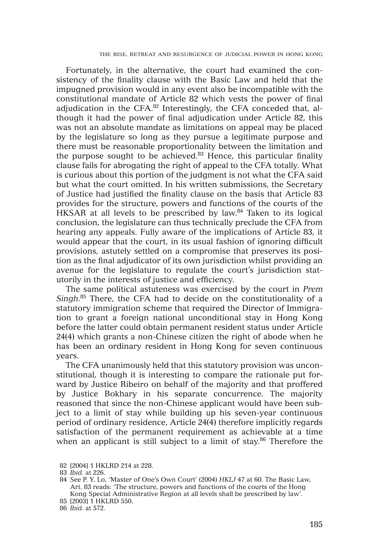Fortunately, in the alternative, the court had examined the consistency of the finality clause with the Basic Law and held that the impugned provision would in any event also be incompatible with the constitutional mandate of Article 82 which vests the power of final adjudication in the CFA.<sup>82</sup> Interestingly, the CFA conceded that, although it had the power of final adjudication under Article 82, this was not an absolute mandate as limitations on appeal may be placed by the legislature so long as they pursue a legitimate purpose and there must be reasonable proportionality between the limitation and the purpose sought to be achieved. $83$  Hence, this particular finality clause fails for abrogating the right of appeal to the CFA totally. What is curious about this portion of the judgment is not what the CFA said but what the court omitted. In his written submissions, the Secretary of Justice had justified the finality clause on the basis that Article 83 provides for the structure, powers and functions of the courts of the  $HKSAR$  at all levels to be prescribed by law. $84$  Taken to its logical conclusion, the legislature can thus technically preclude the CFA from hearing any appeals. Fully aware of the implications of Article 83, it would appear that the court, in its usual fashion of ignoring difficult provisions, astutely settled on a compromise that preserves its position as the final adjudicator of its own jurisdiction whilst providing an avenue for the legislature to regulate the court's jurisdiction statutorily in the interests of justice and efficiency.

The same political astuteness was exercised by the court in *Prem Singh*. <sup>85</sup> There, the CFA had to decide on the constitutionality of a statutory immigration scheme that required the Director of Immigration to grant a foreign national unconditional stay in Hong Kong before the latter could obtain permanent resident status under Article 24(4) which grants a non-Chinese citizen the right of abode when he has been an ordinary resident in Hong Kong for seven continuous years.

The CFA unanimously held that this statutory provision was unconstitutional, though it is interesting to compare the rationale put forward by Justice Ribeiro on behalf of the majority and that proffered by Justice Bokhary in his separate concurrence. The majority reasoned that since the non-Chinese applicant would have been subject to a limit of stay while building up his seven-year continuous period of ordinary residence, Article 24(4) therefore implicitly regards satisfaction of the permanent requirement as achievable at a time when an applicant is still subject to a limit of stay.<sup>86</sup> Therefore the

86 *Ibid*. at 572.

<sup>82 [2004] 1</sup> HKLRD 214 at 228.

<sup>83</sup> *Ibid*. at 226.

<sup>84</sup> See P. Y. Lo, 'Master of One's Own Court' (2004) *HKLJ* 47 at 60. The Basic Law, Art. 83 reads: 'The structure, powers and functions of the courts of the Hong Kong Special Administrative Region at all levels shall be prescribed by law'.

<sup>85 [2003] 1</sup> HKLRD 550.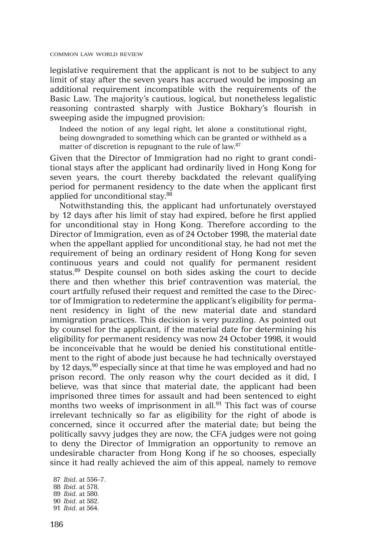legislative requirement that the applicant is not to be subject to any limit of stay after the seven years has accrued would be imposing an additional requirement incompatible with the requirements of the Basic Law. The majority's cautious, logical, but nonetheless legalistic reasoning contrasted sharply with Justice Bokhary's flourish in sweeping aside the impugned provision:

Indeed the notion of any legal right, let alone a constitutional right, being downgraded to something which can be granted or withheld as a matter of discretion is repugnant to the rule of law.87

Given that the Director of Immigration had no right to grant conditional stays after the applicant had ordinarily lived in Hong Kong for seven years, the court thereby backdated the relevant qualifying period for permanent residency to the date when the applicant first applied for unconditional stay.<sup>88</sup>

Notwithstanding this, the applicant had unfortunately overstayed by 12 days after his limit of stay had expired, before he first applied for unconditional stay in Hong Kong. Therefore according to the Director of Immigration, even as of 24 October 1998, the material date when the appellant applied for unconditional stay, he had not met the requirement of being an ordinary resident of Hong Kong for seven continuous years and could not qualify for permanent resident status.<sup>89</sup> Despite counsel on both sides asking the court to decide there and then whether this brief contravention was material, the court artfully refused their request and remitted the case to the Director of Immigration to redetermine the applicant's eligibility for permanent residency in light of the new material date and standard immigration practices. This decision is very puzzling. As pointed out by counsel for the applicant, if the material date for determining his eligibility for permanent residency was now 24 October 1998, it would be inconceivable that he would be denied his constitutional entitlement to the right of abode just because he had technically overstayed by 12 days,<sup>90</sup> especially since at that time he was employed and had no prison record. The only reason why the court decided as it did, I believe, was that since that material date, the applicant had been imprisoned three times for assault and had been sentenced to eight months two weeks of imprisonment in all.<sup>91</sup> This fact was of course irrelevant technically so far as eligibility for the right of abode is concerned, since it occurred after the material date; but being the politically savvy judges they are now, the CFA judges were not going to deny the Director of Immigration an opportunity to remove an undesirable character from Hong Kong if he so chooses, especially since it had really achieved the aim of this appeal, namely to remove

 *Ibid*. at 556–7. *Ibid*. at 578. *Ibid*. at 580. *Ibid*. at 582. *Ibid*. at 564.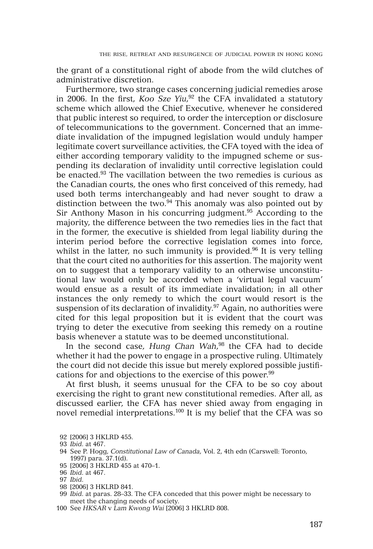the grant of a constitutional right of abode from the wild clutches of administrative discretion.

Furthermore, two strange cases concerning judicial remedies arose in 2006. In the first, *Koo Sze Yiu*, <sup>92</sup> the CFA invalidated a statutory scheme which allowed the Chief Executive, whenever he considered that public interest so required, to order the interception or disclosure of telecommunications to the government. Concerned that an immediate invalidation of the impugned legislation would unduly hamper legitimate covert surveillance activities, the CFA toyed with the idea of either according temporary validity to the impugned scheme or suspending its declaration of invalidity until corrective legislation could be enacted.<sup>93</sup> The vacillation between the two remedies is curious as the Canadian courts, the ones who first conceived of this remedy, had used both terms interchangeably and had never sought to draw a distinction between the two. $94$  This anomaly was also pointed out by Sir Anthony Mason in his concurring judgment.<sup>95</sup> According to the majority, the difference between the two remedies lies in the fact that in the former, the executive is shielded from legal liability during the interim period before the corrective legislation comes into force, whilst in the latter, no such immunity is provided.<sup>96</sup> It is very telling that the court cited no authorities for this assertion. The majority went on to suggest that a temporary validity to an otherwise unconstitutional law would only be accorded when a 'virtual legal vacuum' would ensue as a result of its immediate invalidation; in all other instances the only remedy to which the court would resort is the suspension of its declaration of invalidity.<sup>97</sup> Again, no authorities were cited for this legal proposition but it is evident that the court was trying to deter the executive from seeking this remedy on a routine basis whenever a statute was to be deemed unconstitutional.

In the second case, *Hung Chan Wah*, <sup>98</sup> the CFA had to decide whether it had the power to engage in a prospective ruling. Ultimately the court did not decide this issue but merely explored possible justifications for and objections to the exercise of this power.<sup>99</sup>

At first blush, it seems unusual for the CFA to be so coy about exercising the right to grant new constitutional remedies. After all, as discussed earlier, the CFA has never shied away from engaging in novel remedial interpretations.<sup>100</sup> It is my belief that the CFA was so

<sup>92 [2006] 3</sup> HKLRD 455.

<sup>93</sup> *Ibid*. at 467.

<sup>94</sup> See P. Hogg, *Constitutional Law of Canada*, Vol. 2, 4th edn (Carswell: Toronto, 1997) para. 37.1(d).

<sup>95 [2006] 3</sup> HKLRD 455 at 470–1.

<sup>96</sup> *Ibid*. at 467.

<sup>97</sup> *Ibid*.

<sup>98 [2006] 3</sup> HKLRD 841.

<sup>99</sup> *Ibid*. at paras. 28–33. The CFA conceded that this power might be necessary to meet the changing needs of society.

<sup>100</sup> See *HKSAR* v *Lam Kwong Wai* [2006] 3 HKLRD 808.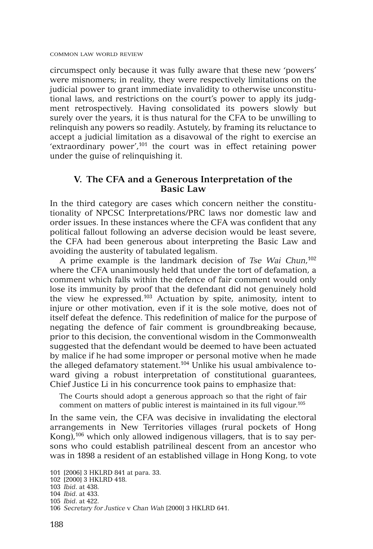circumspect only because it was fully aware that these new 'powers' were misnomers; in reality, they were respectively limitations on the judicial power to grant immediate invalidity to otherwise unconstitutional laws, and restrictions on the court's power to apply its judgment retrospectively. Having consolidated its powers slowly but surely over the years, it is thus natural for the CFA to be unwilling to relinquish any powers so readily. Astutely, by framing its reluctance to accept a judicial limitation as a disavowal of the right to exercise an 'extraordinary power', <sup>101</sup> the court was in effect retaining power under the guise of relinquishing it.

## **V. The CFA and a Generous Interpretation of the Basic Law**

In the third category are cases which concern neither the constitutionality of NPCSC Interpretations/PRC laws nor domestic law and order issues. In these instances where the CFA was confident that any political fallout following an adverse decision would be least severe, the CFA had been generous about interpreting the Basic Law and avoiding the austerity of tabulated legalism.

A prime example is the landmark decision of *Tse Wai Chun*, 102 where the CFA unanimously held that under the tort of defamation, a comment which falls within the defence of fair comment would only lose its immunity by proof that the defendant did not genuinely hold the view he expressed.103 Actuation by spite, animosity, intent to injure or other motivation, even if it is the sole motive, does not of itself defeat the defence. This redefinition of malice for the purpose of negating the defence of fair comment is groundbreaking because, prior to this decision, the conventional wisdom in the Commonwealth suggested that the defendant would be deemed to have been actuated by malice if he had some improper or personal motive when he made the alleged defamatory statement.<sup>104</sup> Unlike his usual ambivalence toward giving a robust interpretation of constitutional guarantees, Chief Justice Li in his concurrence took pains to emphasize that:

The Courts should adopt a generous approach so that the right of fair comment on matters of public interest is maintained in its full vigour.105

In the same vein, the CFA was decisive in invalidating the electoral arrangements in New Territories villages (rural pockets of Hong Kong),<sup>106</sup> which only allowed indigenous villagers, that is to say persons who could establish patrilineal descent from an ancestor who was in 1898 a resident of an established village in Hong Kong, to vote

101 [2006] 3 HKLRD 841 at para. 33. 102 [2000] 3 HKLRD 418. 103 *Ibid*. at 438.

<sup>104</sup> *Ibid*. at 433.

<sup>105</sup> *Ibid*. at 422.

<sup>106</sup> *Secretary for Justice* v *Chan Wah* [2000] 3 HKLRD 641.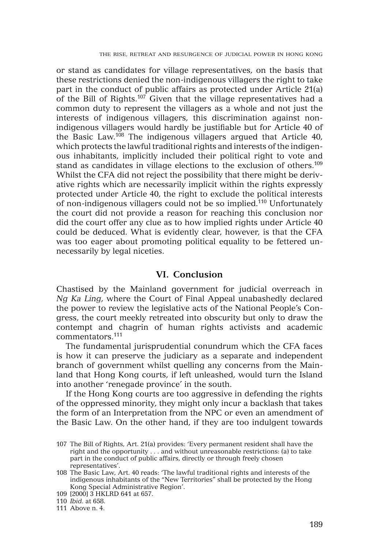or stand as candidates for village representatives, on the basis that these restrictions denied the non-indigenous villagers the right to take part in the conduct of public affairs as protected under Article 21(a) of the Bill of Rights.107 Given that the village representatives had a common duty to represent the villagers as a whole and not just the interests of indigenous villagers, this discrimination against nonindigenous villagers would hardly be justifiable but for Article 40 of the Basic Law.108 The indigenous villagers argued that Article 40, which protects the lawful traditional rights and interests of the indigenous inhabitants, implicitly included their political right to vote and stand as candidates in village elections to the exclusion of others.<sup>109</sup> Whilst the CFA did not reject the possibility that there might be derivative rights which are necessarily implicit within the rights expressly protected under Article 40, the right to exclude the political interests of non-indigenous villagers could not be so implied.110 Unfortunately the court did not provide a reason for reaching this conclusion nor did the court offer any clue as to how implied rights under Article 40 could be deduced. What is evidently clear, however, is that the CFA was too eager about promoting political equality to be fettered unnecessarily by legal niceties.

## **VI. Conclusion**

Chastised by the Mainland government for judicial overreach in *Ng Ka Ling*, where the Court of Final Appeal unabashedly declared the power to review the legislative acts of the National People's Congress, the court meekly retreated into obscurity but only to draw the contempt and chagrin of human rights activists and academic commentators.111

The fundamental jurisprudential conundrum which the CFA faces is how it can preserve the judiciary as a separate and independent branch of government whilst quelling any concerns from the Mainland that Hong Kong courts, if left unleashed, would turn the Island into another 'renegade province' in the south.

If the Hong Kong courts are too aggressive in defending the rights of the oppressed minority, they might only incur a backlash that takes the form of an Interpretation from the NPC or even an amendment of the Basic Law. On the other hand, if they are too indulgent towards

111 Above n. 4.

<sup>107</sup> The Bill of Rights, Art. 21(a) provides: 'Every permanent resident shall have the right and the opportunity . . . and without unreasonable restrictions: (a) to take part in the conduct of public affairs, directly or through freely chosen representatives'.

<sup>108</sup> The Basic Law, Art. 40 reads: 'The lawful traditional rights and interests of the indigenous inhabitants of the "New Territories" shall be protected by the Hong Kong Special Administrative Region'.

<sup>109 [2000] 3</sup> HKLRD 641 at 657.

<sup>110</sup> *Ibid*. at 658.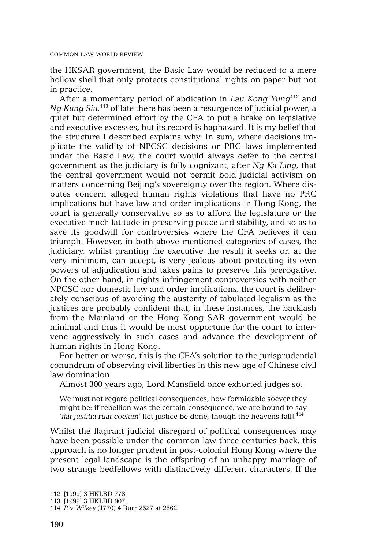the HKSAR government, the Basic Law would be reduced to a mere hollow shell that only protects constitutional rights on paper but not in practice.

After a momentary period of abdication in *Lau Kong Yung*<sup>112</sup> and *Ng Kung Siu*, <sup>113</sup> of late there has been a resurgence of judicial power, a quiet but determined effort by the CFA to put a brake on legislative and executive excesses, but its record is haphazard. It is my belief that the structure I described explains why. In sum, where decisions implicate the validity of NPCSC decisions or PRC laws implemented under the Basic Law, the court would always defer to the central government as the judiciary is fully cognizant, after *Ng Ka Ling*, that the central government would not permit bold judicial activism on matters concerning Beijing's sovereignty over the region. Where disputes concern alleged human rights violations that have no PRC implications but have law and order implications in Hong Kong, the court is generally conservative so as to afford the legislature or the executive much latitude in preserving peace and stability, and so as to save its goodwill for controversies where the CFA believes it can triumph. However, in both above-mentioned categories of cases, the judiciary, whilst granting the executive the result it seeks or, at the very minimum, can accept, is very jealous about protecting its own powers of adjudication and takes pains to preserve this prerogative. On the other hand, in rights-infringement controversies with neither NPCSC nor domestic law and order implications, the court is deliberately conscious of avoiding the austerity of tabulated legalism as the justices are probably confident that, in these instances, the backlash from the Mainland or the Hong Kong SAR government would be minimal and thus it would be most opportune for the court to intervene aggressively in such cases and advance the development of human rights in Hong Kong.

For better or worse, this is the CFA's solution to the jurisprudential conundrum of observing civil liberties in this new age of Chinese civil law domination.

Almost 300 years ago, Lord Mansfield once exhorted judges so:

We must not regard political consequences; how formidable soever they might be: if rebellion was the certain consequence, we are bound to say '*fiat justitia ruat coelum*' [let justice be done, though the heavens fall].114

Whilst the flagrant judicial disregard of political consequences may have been possible under the common law three centuries back, this approach is no longer prudent in post-colonial Hong Kong where the present legal landscape is the offspring of an unhappy marriage of two strange bedfellows with distinctively different characters. If the

112 [1999] 3 HKLRD 778. 113 [1999] 3 HKLRD 907. 114 *R* v *Wilkes* (1770) 4 Burr 2527 at 2562.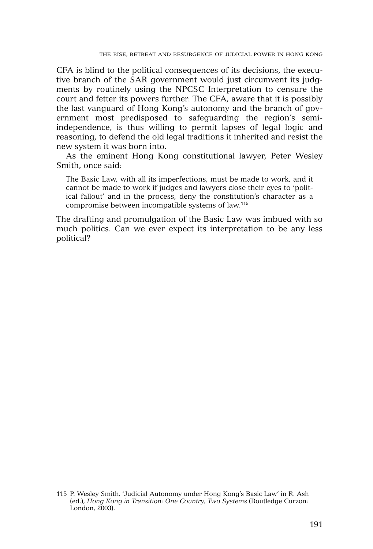CFA is blind to the political consequences of its decisions, the executive branch of the SAR government would just circumvent its judgments by routinely using the NPCSC Interpretation to censure the court and fetter its powers further. The CFA, aware that it is possibly the last vanguard of Hong Kong's autonomy and the branch of government most predisposed to safeguarding the region's semiindependence, is thus willing to permit lapses of legal logic and reasoning, to defend the old legal traditions it inherited and resist the new system it was born into.

As the eminent Hong Kong constitutional lawyer, Peter Wesley Smith, once said:

The Basic Law, with all its imperfections, must be made to work, and it cannot be made to work if judges and lawyers close their eyes to 'political fallout' and in the process, deny the constitution's character as a compromise between incompatible systems of law.115

The drafting and promulgation of the Basic Law was imbued with so much politics. Can we ever expect its interpretation to be any less political?

<sup>115</sup> P. Wesley Smith, 'Judicial Autonomy under Hong Kong's Basic Law' in R. Ash (ed.), *Hong Kong in Transition: One Country, Two Systems* (Routledge Curzon: London, 2003).